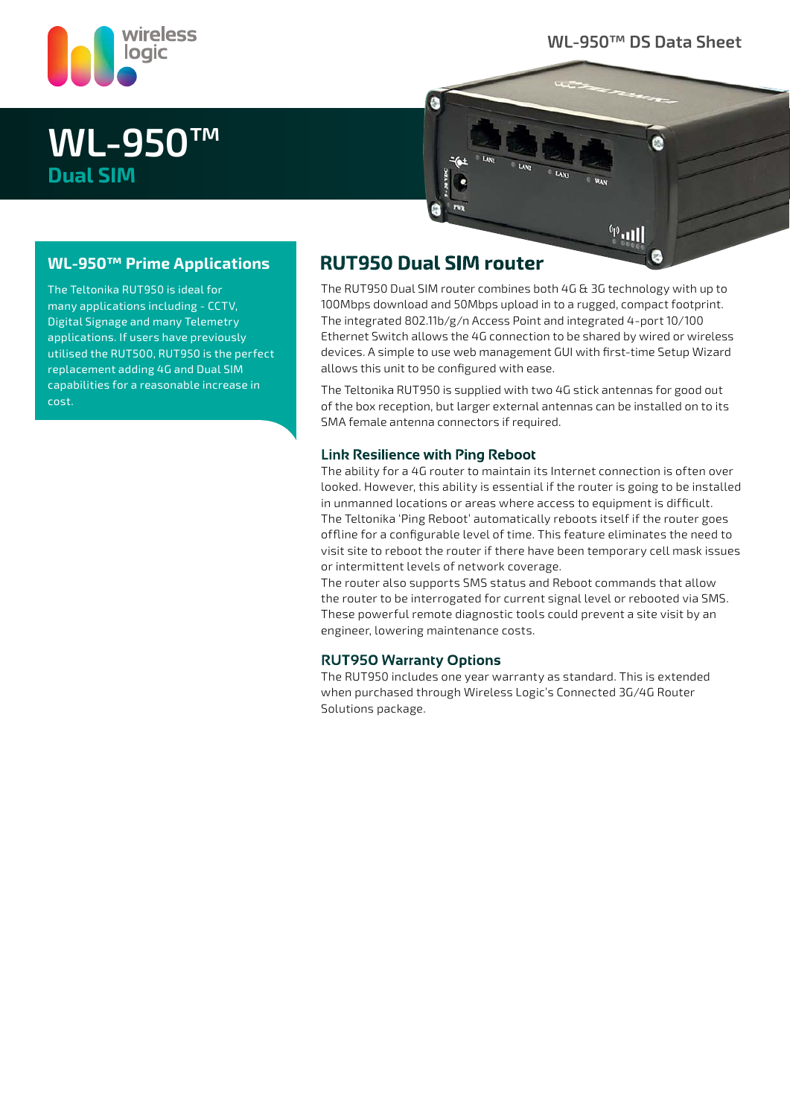

### **WL-950™ DS Data Sheet**

E.

 $\stackrel{\text{\tiny{(p)}}}{=}$ 

# **WL-950™ Dual SIM**

The Teltonika RUT950 is ideal for many applications including - CCTV, Digital Signage and many Telemetry applications. If users have previously utilised the RUT500, RUT950 is the perfect replacement adding 4G and Dual SIM capabilities for a reasonable increase in

**WL-950™ Prime Applications**

cost.

### **RUT950 Dual SIM router**

н.

The RUT950 Dual SIM router combines both 4G & 3G technology with up to 100Mbps download and 50Mbps upload in to a rugged, compact footprint. The integrated 802.11b/g/n Access Point and integrated 4-port 10/100 Ethernet Switch allows the 4G connection to be shared by wired or wireless devices. A simple to use web management GUI with first-time Setup Wizard allows this unit to be configured with ease.

The Teltonika RUT950 is supplied with two 4G stick antennas for good out of the box reception, but larger external antennas can be installed on to its SMA female antenna connectors if required.

#### **Link Resilience with Ping Reboot**

The ability for a 4G router to maintain its Internet connection is often over looked. However, this ability is essential if the router is going to be installed in unmanned locations or areas where access to equipment is difficult. The Teltonika 'Ping Reboot' automatically reboots itself if the router goes offline for a configurable level of time. This feature eliminates the need to visit site to reboot the router if there have been temporary cell mask issues or intermittent levels of network coverage.

The router also supports SMS status and Reboot commands that allow the router to be interrogated for current signal level or rebooted via SMS. These powerful remote diagnostic tools could prevent a site visit by an engineer, lowering maintenance costs.

#### **RUT950 Warranty Options**

The RUT950 includes one year warranty as standard. This is extended when purchased through Wireless Logic's Connected 3G/4G Router Solutions package.